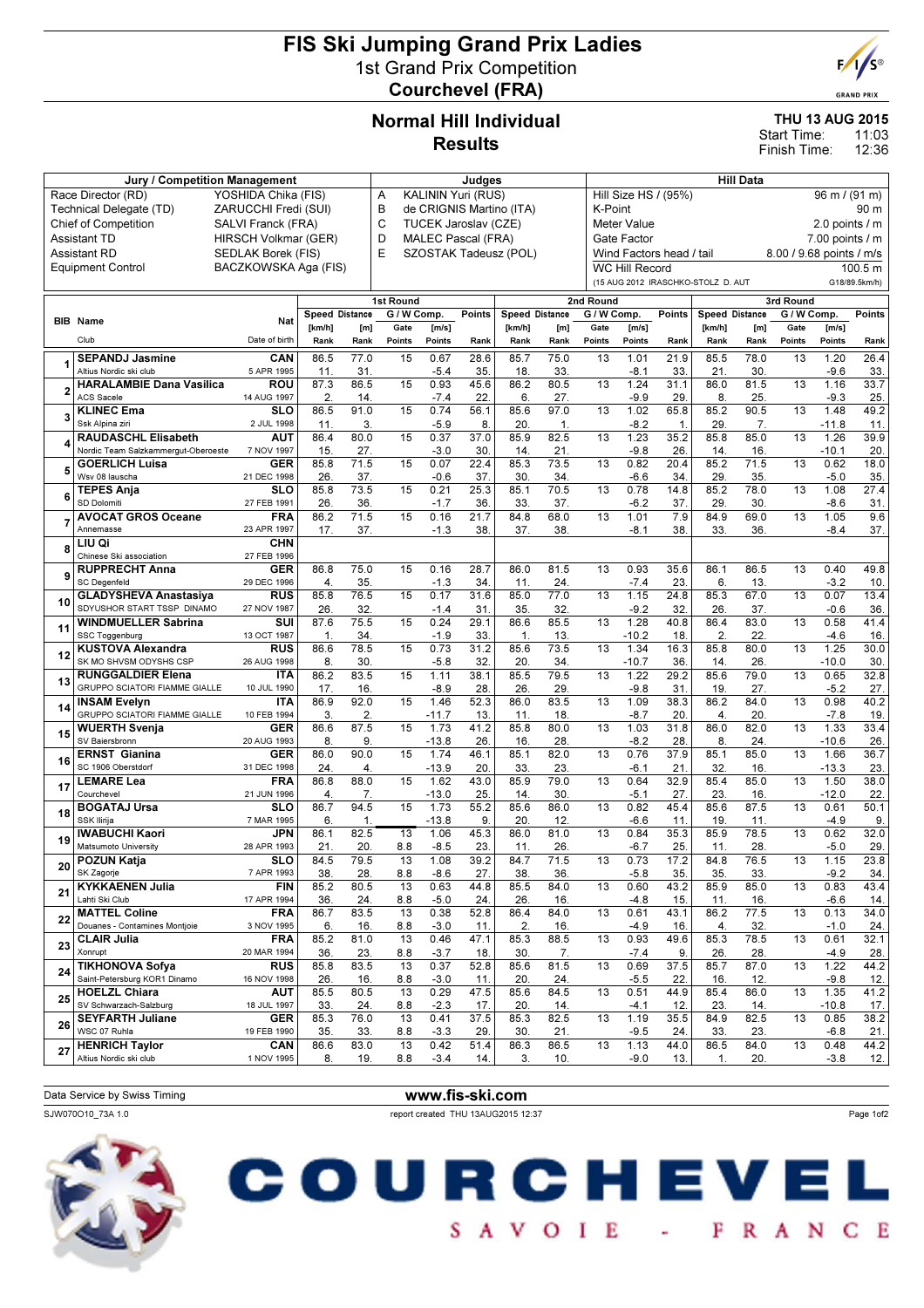# FIS Ski Jumping Grand Prix Ladies 1st Grand Prix Competition Courchevel (FRA)



**GRAND PRIX** 

### Normal Hill Individual Results

#### THU 13 AUG 2015

11:03 12:36 Start Time: Finish Time:

|                                           | Jury / Competition Management                             |                           | Judges         |             |                 |                |                      |                          | <b>Hill Data</b> |                                       |                       |                          |                                    |             |                          |                     |               |
|-------------------------------------------|-----------------------------------------------------------|---------------------------|----------------|-------------|-----------------|----------------|----------------------|--------------------------|------------------|---------------------------------------|-----------------------|--------------------------|------------------------------------|-------------|--------------------------|---------------------|---------------|
| Race Director (RD)<br>YOSHIDA Chika (FIS) |                                                           |                           |                |             | Α               |                | KALININ Yuri (RUS)   |                          |                  | Hill Size HS / (95%)<br>96 m / (91 m) |                       |                          |                                    |             |                          |                     |               |
|                                           | Technical Delegate (TD)                                   | ZARUCCHI Fredi (SUI)      |                |             | B               |                |                      | de CRIGNIS Martino (ITA) |                  | K-Point<br>90 m                       |                       |                          |                                    |             |                          |                     |               |
|                                           | <b>Chief of Competition</b>                               | SALVI Franck (FRA)        |                |             | C               |                | TUCEK Jaroslav (CZE) |                          |                  |                                       | <b>Meter Value</b>    |                          |                                    |             |                          | 2.0 points / m      |               |
|                                           | <b>Assistant TD</b>                                       | HIRSCH Volkmar (GER)      |                |             | D               |                | MALEC Pascal (FRA)   |                          |                  |                                       | Gate Factor           |                          |                                    |             |                          | $7.00$ points $/ m$ |               |
| <b>Assistant RD</b><br>SEDLAK Borek (FIS) |                                                           |                           |                |             | E               |                |                      | SZOSTAK Tadeusz (POL)    |                  |                                       |                       | Wind Factors head / tail |                                    |             | 8.00 / 9.68 points / m/s |                     |               |
|                                           | <b>Equipment Control</b>                                  | BACZKOWSKA Aga (FIS)      |                |             |                 |                |                      |                          |                  |                                       | <b>WC Hill Record</b> |                          |                                    |             |                          |                     | 100.5 m       |
|                                           |                                                           |                           |                |             |                 |                |                      |                          |                  |                                       |                       |                          | (15 AUG 2012 IRASCHKO-STOLZ D. AUT |             |                          |                     | G18/89.5km/h) |
|                                           |                                                           |                           |                |             | 1st Round       |                |                      |                          |                  | 2nd Round                             |                       |                          |                                    |             | 3rd Round                |                     |               |
|                                           |                                                           |                           | Speed Distance |             | G / W Comp.     |                | Points               | <b>Speed Distance</b>    |                  | G / W Comp.                           |                       | <b>Points</b>            | <b>Speed Distance</b>              |             | G / W Comp.              |                     | Points        |
|                                           | <b>BIB</b> Name                                           | Nat                       | [km/h]         | [m]         | Gate            | [m/s]          |                      | [km/h]                   | [m]              | Gate                                  | [m/s]                 |                          | [km/h]                             | [m]         | Gate                     | [m/s]               |               |
|                                           | Club                                                      | Date of birth             | Rank           | Rank        | Points          | Points         | Rank                 | Rank                     | Rank             | Points                                | Points                | Rank                     | Rank                               | Rank        | Points                   | Points              | Rank          |
|                                           | <b>SEPANDJ Jasmine</b>                                    | CAN                       | 86.5           | 77.0        | 15              | 0.67           | 28.6                 | 85.7                     | 75.0             | 13                                    | 1.01                  | 21.9                     | 85.5                               | 78.0        | 13                       | 1.20                | 26.4          |
|                                           | Altius Nordic ski club                                    | 5 APR 1995                | 11.            | 31.         |                 | $-5.4$         | 35.                  | 18                       | 33.              |                                       | $-8.1$                | 33.                      | 21.                                | 30.         |                          | $-9.6$              | 33            |
|                                           | <b>HARALAMBIE Dana Vasilica</b>                           | ROU                       | 87.3           | 86.5        | 15              | 0.93           | 45.6                 | 86.2                     | 80.5             | 13                                    | 1.24                  | 31.1                     | 86.0                               | 81.5        | 13                       | 1.16                | 33.7          |
|                                           | <b>ACS Sacele</b>                                         | 14 AUG 1997               | 2.             | 14.         |                 | $-7.4$         | 22                   | 6.                       | 27.              |                                       | $-9.9$                | 29.                      | 8.                                 | 25.         |                          | $-9.3$              | 25            |
|                                           | <b>KLINEC Ema</b>                                         | <b>SLO</b>                | 86.5           | 91.0        | 15              | 0.74           | 56.1                 | 85.6                     | 97.0             | 13                                    | 1.02                  | 65.8                     | 85.2                               | 90.5        | 13                       | 1.48                | 49.2          |
|                                           | Ssk Alpina ziri                                           | 2 JUL 1998                | 11.            | 3.          |                 | $-5.9$         | 8.                   | 20.                      | $\mathbf 1$ .    |                                       | $-8.2$                | 1.                       | 29.                                | 7.          |                          | $-11.8$             | 11            |
|                                           | <b>RAUDASCHL Elisabeth</b>                                | <b>AUT</b>                | 86.4           | 80.0        | 15              | 0.37           | 37.0                 | 85.9                     | 82.5             | 13                                    | 1.23                  | 35.2                     | 85.8                               | 85.0        | 13                       | 1.26                | 39.9          |
|                                           | Nordic Team Salzkammergut-Oberoeste                       | 7 NOV 1997                | 15             | 27.         |                 | $-3.0$         | 30                   | 14.                      | 21               |                                       | $-9.8$                | 26.                      | 14                                 | 16.         |                          | $-10.1$             | 20            |
|                                           | <b>GOERLICH Luisa</b>                                     | <b>GER</b>                | 85.8           | 71.5        | 15              | 0.07           | 22.4                 | 85.3                     | 73.5             | 13                                    | 0.82                  | 20.4                     | 85.2                               | 71.5        | 13                       | 0.62                | 18.0          |
|                                           | Wsv 08 lauscha                                            | 21 DEC 1998<br><b>SLO</b> | 26<br>85.8     | 37.<br>73.5 | 15              | $-0.6$<br>0.21 | 37.<br>25.3          | 30<br>85.1               | 34.<br>70.5      | 13                                    | -6.6<br>0.78          | 34.<br>14.8              | 29<br>85.2                         | 35.<br>78.0 | 13                       | $-5.0$<br>1.08      | 35<br>27.4    |
|                                           | <b>TEPES Anja</b><br>SD Dolomiti                          | 27 FEB 1991               | 26             | 36.         |                 | $-1.7$         | 36                   | 33                       | 37.              |                                       | $-6.2$                | 37.                      | 29.                                | 30.         |                          | $-8.6$              | 31            |
|                                           | <b>AVOCAT GROS Oceane</b>                                 | <b>FRA</b>                | 86.2           | 71.5        | 15              | 0.16           | 21.7                 | 84.8                     | 68.0             | 13                                    | 1.01                  | 7.9                      | 84.9                               | 69.0        | 13                       | 1.05                | 9.6           |
|                                           | Annemasse                                                 | 23 APR 1997               | 17.            | 37.         |                 | $-1.3$         | 38.                  | 37.                      | 38.              |                                       | $-8.1$                | 38.                      | 33.                                | 36.         |                          | $-8.4$              | 37.           |
|                                           | LIU Qi                                                    | <b>CHN</b>                |                |             |                 |                |                      |                          |                  |                                       |                       |                          |                                    |             |                          |                     |               |
| 8                                         | Chinese Ski association                                   | 27 FEB 1996               |                |             |                 |                |                      |                          |                  |                                       |                       |                          |                                    |             |                          |                     |               |
|                                           | <b>RUPPRECHT Anna</b>                                     | <b>GER</b>                | 86.8           | 75.0        | 15              | 0.16           | 28.7                 | 86.0                     | 81.5             | 13                                    | 0.93                  | 35.6                     | 86.1                               | 86.5        | 13                       | 0.40                | 49.8          |
| 9                                         | <b>SC Degenfeld</b>                                       | 29 DEC 1996               | 4.             | 35.         |                 | $-1.3$         | 34                   | 11                       | 24.              |                                       | $-7.4$                | 23.                      | 6.                                 | 13.         |                          | $-3.2$              | 10            |
| 10                                        | <b>GLADYSHEVA Anastasiva</b>                              | <b>RUS</b>                | 85.8           | 76.5        | 15              | 0.17           | 31.6                 | 85.0                     | 77.0             | 13                                    | 1.15                  | 24.8                     | 85.3                               | 67.0        | $\overline{13}$          | 0.07                | 13.4          |
|                                           | SDYUSHOR START TSSP DINAMO                                | 27 NOV 1987               | 26             | 32.         |                 | $-1.4$         | 31.                  | 35.                      | 32.              |                                       | $-9.2$                | 32.                      | 26                                 | 37.         |                          | $-0.6$              | 36            |
| 11                                        | <b>WINDMUELLER Sabrina</b>                                | SUI                       | 87.6           | 75.5        | 15              | 0.24           | 29.1                 | 86.6                     | 85.5             | 13                                    | 1.28                  | 40.8                     | 86.4                               | 83.0        | 13                       | 0.58                | 41.4          |
|                                           | SSC Toggenburg                                            | 13 OCT 1987               | 1.             | 34.         |                 | $-1.9$         | 33.                  | 1.                       | 13.              |                                       | $-10.2$               | 18.                      | 2.                                 | 22.         |                          | $-4.6$              | 16            |
| 12                                        | <b>KUSTOVA Alexandra</b>                                  | <b>RUS</b>                | 86.6           | 78.5        | 15              | 0.73           | 31.2                 | 85.6                     | 73.5             | 13                                    | 1.34                  | 16.3                     | 85.8                               | 80.0        | 13                       | 1.25                | 30.0          |
|                                           | SK MO SHVSM ODYSHS CSP                                    | 26 AUG 1998               | 8              | 30.         |                 | $-5.8$         | 32                   | 20                       | 34.              |                                       | $-10.7$               | 36.                      | 14.                                | 26.         | $\overline{13}$          | $-10.0$             | 30            |
| 13                                        | <b>RUNGGALDIER Elena</b><br>GRUPPO SCIATORI FIAMME GIALLE | <b>ITA</b><br>10 JUL 1990 | 86.2<br>17.    | 83.5<br>16. | $\overline{15}$ | 1.11<br>$-8.9$ | 38.1<br>28           | 85.5<br>26               | 79.5<br>29.      | 13                                    | 1.22<br>$-9.8$        | 29.2<br>31               | 85.6<br>19                         | 79.0<br>27. |                          | 0.65<br>$-5.2$      | 32.8          |
|                                           | <b>INSAM Evelyn</b>                                       | <b>ITA</b>                | 86.9           | 92.0        | 15              | 1.46           | 52.3                 | 86.0                     | 83.5             | 13                                    | 1.09                  | 38.3                     | 86.2                               | 84.0        | 13                       | 0.98                | 27.<br>40.2   |
| 14                                        | GRUPPO SCIATORI FIAMME GIALLE                             | 10 FEB 1994               | 3.             | 2.          |                 | $-11.7$        | 13                   | 11.                      | 18.              |                                       | $-8.7$                | 20.                      | $\overline{4}$ .                   | 20.         |                          | $-7.8$              | 19            |
|                                           | <b>WUERTH Svenja</b>                                      | <b>GER</b>                | 86.6           | 87.5        | 15              | 1.73           | 41.2                 | 85.8                     | 80.0             | 13                                    | 1.03                  | 31.8                     | 86.0                               | 82.0        | 13                       | 1.33                | 33.4          |
| 15                                        | SV Baiersbronn                                            | 20 AUG 1993               | 8.             | 9.          |                 | $-13.8$        | 26                   | 16                       | 28.              |                                       | $-8.2$                | 28.                      | 8.                                 | 24.         |                          | $-10.6$             | 26            |
|                                           | <b>ERNST Gianina</b>                                      | <b>GER</b>                | 86.0           | 90.0        | 15              | 1.74           | 46.1                 | 85.1                     | 82.0             | 13                                    | 0.76                  | 37.9                     | 85.1                               | 85.0        | 13                       | 1.66                | 36.7          |
| 16                                        | SC 1906 Oberstdorf                                        | 31 DEC 1998               | 24             | 4.          |                 | $-13.9$        | 20                   | 33                       | 23.              |                                       | -6.1                  | 21                       | 32.                                | 16.         |                          | $-13.3$             | 23            |
| 17                                        | <b>LEMARE Lea</b>                                         | <b>FRA</b>                | 86.8           | 88.0        | 15              | 1.62           | 43.0                 | 85.9                     | 79.0             | 13                                    | 0.64                  | 32.9                     | 85.4                               | 85.0        | 13                       | 1.50                | 38.0          |
|                                           | Courchevel                                                | 21 JUN 1996               | 4.             | 7.          |                 | $-13.0$        | 25                   | 14.                      | 30.              |                                       | -5.1                  | 27.                      | 23.                                | 16.         |                          | $-12.0$             | 22.           |
| 18                                        | <b>BOGATAJ Ursa</b>                                       | <b>SLO</b>                | 86.7           | 94.5        | 15              | 1.73           | 55.2                 | 85.6                     | 86.0             | 13                                    | 0.82                  | 45.4                     | 85.6                               | 87.5        | 13                       | 0.61                | 50.1          |
|                                           | <b>SSK Ilirija</b>                                        | 7 MAR 1995                | 6.             | 1.          |                 | $-13.8$        | 9.                   | 20                       | 12.              |                                       | -6.6                  | 11                       | 19                                 | 11.         |                          | $-4.9$              | 9             |
| 19                                        | <b>IWABUCHI Kaori</b>                                     | JPN                       | 86.1           | 82.5        | 13              | 1.06           | 45.3                 | 86.0                     | 81.0             | 13                                    | 0.84                  | 35.3                     | 85.9                               | 78.5        | 13                       | 0.62                | 32.0          |
|                                           | Matsumoto University                                      | 28 APR 1993               | 21             | 20.         | 8.8             | $-8.5$         | 23.                  | 11                       | 26.              |                                       | $-6.7$                | 25.                      | 11.                                | 28.         |                          | $-5.0$              | 29.           |
| 20                                        | <b>POZUN Katja</b><br>SK Zagorje                          | <b>SLO</b><br>7 APR 1993  | 84.5           | 79.5        | 13              | 1.08           | 39.2                 | 84.7                     | 71.5             | 13                                    | 0.73                  | 17.2                     | 84.8                               | 76.5        | 13                       | 1.15                | 23.8          |
|                                           | <b>KYKKAENEN Julia</b>                                    | FIN                       | 38.<br>85.2    | 28.<br>80.5 | 8.8<br>13       | $-8.6$<br>0.63 | 27.<br>44.8          | 38.<br>85.5              | 36.<br>84.0      | 13                                    | $-5.8$<br>0.60        | 35.<br>43.2              | 35.<br>85.9                        | 33.<br>85.0 | 13                       | $-9.2$<br>0.83      | 34.<br>43.4   |
| 21                                        | Lahti Ski Club                                            | 17 APR 1994               | 36.            | 24.         | 8.8             | $-5.0$         | 24.                  | 26.                      | 16.              |                                       | $-4.8$                | 15.                      | 11.                                | 16.         |                          | $-6.6$              | 14.           |
|                                           | <b>MATTEL Coline</b>                                      | <b>FRA</b>                | 86.7           | 83.5        | 13              | 0.38           | 52.8                 | 86.4                     | 84.0             | 13                                    | 0.61                  | 43.1                     | 86.2                               | 77.5        | 13                       | 0.13                | 34.0          |
| 22                                        | Douanes - Contamines Montjoie                             | 3 NOV 1995                | 6.             | 16.         | 8.8             | $-3.0$         | 11.                  | 2.                       | 16.              |                                       | -4.9                  | 16.                      | 4.                                 | 32.         |                          | $-1.0$              | 24.           |
|                                           | <b>CLAIR Julia</b>                                        | <b>FRA</b>                | 85.2           | 81.0        | 13              | 0.46           | 47.1                 | 85.3                     | 88.5             | 13                                    | 0.93                  | 49.6                     | 85.3                               | 78.5        | 13                       | 0.61                | 32.1          |
| 23                                        | Xonrupt                                                   | 20 MAR 1994               | 36.            | 23.         | 8.8             | $-3.7$         | 18.                  | 30.                      | 7.               |                                       | $-7.4$                | 9.                       | 26.                                | 28.         |                          | $-4.9$              | 28.           |
|                                           | <b>TIKHONOVA Sofya</b>                                    | <b>RUS</b>                | 85.8           | 83.5        | 13              | 0.37           | 52.8                 | 85.6                     | 81.5             | 13                                    | 0.69                  | 37.5                     | 85.7                               | 87.0        | 13                       | 1.22                | 44.2          |
| 24                                        | Saint-Petersburg KOR1 Dinamo                              | 16 NOV 1998               | 26.            | 16.         | 8.8             | $-3.0$         | 11.                  | 20.                      | 24.              |                                       | $-5.5$                | 22.                      | 16.                                | 12.         |                          | $-9.8$              | 12.           |
| 25                                        | <b>HOELZL Chiara</b>                                      | <b>AUT</b>                | 85.5           | 80.5        | 13              | 0.29           | 47.5                 | 85.6                     | 84.5             | 13                                    | 0.51                  | 44.9                     | 85.4                               | 86.0        | 13                       | 1.35                | 41.2          |
|                                           | SV Schwarzach-Salzburg                                    | 18 JUL 1997               | 33.            | 24.         | 8.8             | $-2.3$         | 17.                  | 20.                      | 14.              |                                       | -4.1                  | 12.                      | 23.                                | 14.         |                          | $-10.8$             | 17.           |
| 26                                        | <b>SEYFARTH Juliane</b>                                   | GER                       | 85.3           | 76.0        | 13              | 0.41           | 37.5                 | 85.3                     | 82.5             | 13                                    | 1.19                  | 35.5                     | 84.9                               | 82.5        | 13                       | 0.85                | 38.2          |
|                                           | WSC 07 Ruhla                                              | 19 FEB 1990               | 35.            | 33.         | 8.8             | $-3.3$         | 29.                  | 30.                      | 21.              |                                       | $-9.5$                | 24.                      | 33.                                | 23.         |                          | $-6.8$              | 21.           |
| 27                                        | <b>HENRICH Taylor</b><br>Altius Nordic ski club           | CAN                       | 86.6           | 83.0        | 13              | 0.42           | 51.4                 | 86.3                     | 86.5             | 13                                    | 1.13                  | 44.0                     | 86.5                               | 84.0        | 13                       | 0.48                | 44.2          |
|                                           |                                                           | 1 NOV 1995                | 8.             | 19.         | 8.8             | $-3.4$         | 14.                  | 3.                       | 10.              |                                       | $-9.0$                | 13.                      | 1.                                 | 20.         |                          | $-3.8$              | 12.           |
|                                           |                                                           |                           |                |             |                 |                |                      |                          |                  |                                       |                       |                          |                                    |             |                          |                     |               |

Data Service by Swiss Timing WWW.fis-ski.com

SJW070O10\_73A 1.0 report created THU 13AUG2015 12:37

Page 1of2



| COURCHEVEL |  |  |  |  |  |                 |  |  |  |  |  |  |
|------------|--|--|--|--|--|-----------------|--|--|--|--|--|--|
|            |  |  |  |  |  | SAVOIE - FRANCE |  |  |  |  |  |  |